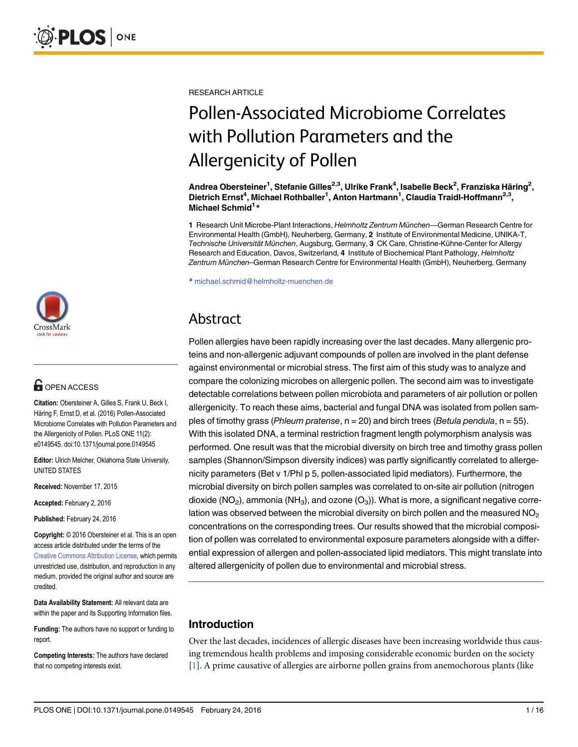

# **OPEN ACCESS**

Citation: Obersteiner A, Gilles S, Frank U, Beck I, Häring F, Ernst D, et al. (2016) Pollen-Associated Microbiome Correlates with Pollution Parameters and the Allergenicity of Pollen. PLoS ONE 11(2): e0149545. doi:10.1371/journal.pone.0149545

Editor: Ulrich Melcher, Oklahoma State University, UNITED STATES

Received: November 17, 2015

Accepted: February 2, 2016

Published: February 24, 2016

Copyright: © 2016 Obersteiner et al. This is an open access article distributed under the terms of the [Creative Commons Attribution License,](http://creativecommons.org/licenses/by/4.0/) which permits unrestricted use, distribution, and reproduction in any medium, provided the original author and source are credited.

Data Availability Statement: All relevant data are within the paper and its Supporting Information files.

Funding: The authors have no support or funding to report.

Competing Interests: The authors have declared that no competing interests exist.

<span id="page-0-0"></span>RESEARCH ARTICLE

# Pollen-Associated Microbiome Correlates with Pollution Parameters and the Allergenicity of Pollen

Andrea Obersteiner<sup>1</sup>, Stefanie Gilles<sup>2,3</sup>, Ulrike Frank<sup>4</sup>, Isabelle Beck<sup>2</sup>, Franziska Häring<sup>2</sup>, Dietrich Ernst<sup>4</sup>, Michael Rothballer<sup>1</sup>, Anton Hartmann<sup>1</sup>, Claudia Traidl-Hoffmann<sup>2,3</sup>, Michael Schmid<sup>1</sup>\*

1 Research Unit Microbe-Plant Interactions, Helmholtz Zentrum München—German Research Centre for Environmental Health (GmbH), Neuherberg, Germany, 2 Institute of Environmental Medicine, UNIKA-T, Technische Universität München, Augsburg, Germany, 3 CK Care, Christine-Kühne-Center for Allergy Research and Education, Davos, Switzerland, 4 Institute of Biochemical Plant Pathology, Helmholtz Zentrum München–German Research Centre for Environmental Health (GmbH), Neuherberg, Germany

\* michael.schmid@helmholtz-muenchen.de

# Abstract

Pollen allergies have been rapidly increasing over the last decades. Many allergenic proteins and non-allergenic adjuvant compounds of pollen are involved in the plant defense against environmental or microbial stress. The first aim of this study was to analyze and compare the colonizing microbes on allergenic pollen. The second aim was to investigate detectable correlations between pollen microbiota and parameters of air pollution or pollen allergenicity. To reach these aims, bacterial and fungal DNA was isolated from pollen samples of timothy grass (Phleum pratense,  $n = 20$ ) and birch trees (Betula pendula,  $n = 55$ ). With this isolated DNA, a terminal restriction fragment length polymorphism analysis was performed. One result was that the microbial diversity on birch tree and timothy grass pollen samples (Shannon/Simpson diversity indices) was partly significantly correlated to allergenicity parameters (Bet v 1/Phl p 5, pollen-associated lipid mediators). Furthermore, the microbial diversity on birch pollen samples was correlated to on-site air pollution (nitrogen dioxide (NO<sub>2</sub>), ammonia (NH<sub>3</sub>), and ozone (O<sub>3</sub>)). What is more, a significant negative correlation was observed between the microbial diversity on birch pollen and the measured  $NO<sub>2</sub>$ concentrations on the corresponding trees. Our results showed that the microbial composition of pollen was correlated to environmental exposure parameters alongside with a differential expression of allergen and pollen-associated lipid mediators. This might translate into altered allergenicity of pollen due to environmental and microbial stress.

# Introduction

Over the last decades, incidences of allergic diseases have been increasing worldwide thus causing tremendous health problems and imposing considerable economic burden on the society [\[1](#page-12-0)]. A prime causative of allergies are airborne pollen grains from anemochorous plants (like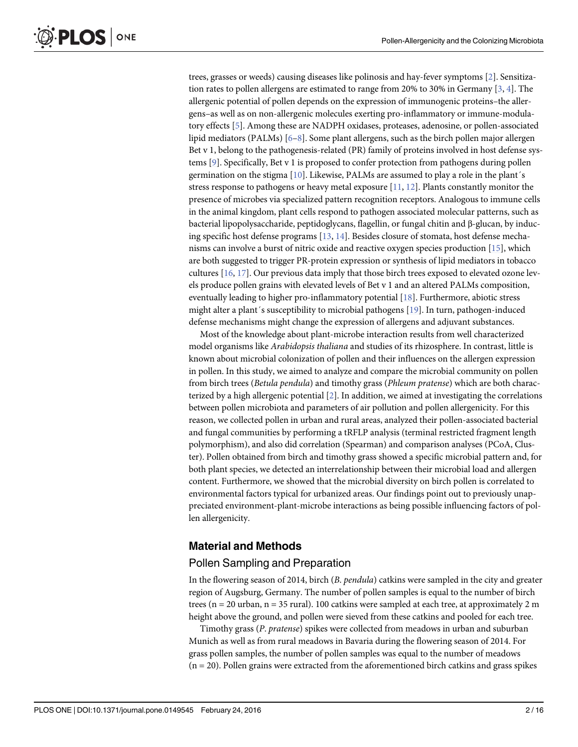<span id="page-1-0"></span>trees, grasses or weeds) causing diseases like polinosis and hay-fever symptoms [\[2](#page-12-0)]. Sensitization rates to pollen allergens are estimated to range from 20% to 30% in Germany  $[3, 4]$  $[3, 4]$  $[3, 4]$  $[3, 4]$ . The allergenic potential of pollen depends on the expression of immunogenic proteins–the allergens–as well as on non-allergenic molecules exerting pro-inflammatory or immune-modulatory effects [\[5\]](#page-12-0). Among these are NADPH oxidases, proteases, adenosine, or pollen-associated lipid mediators (PALMs)  $[6-8]$  $[6-8]$  $[6-8]$ . Some plant allergens, such as the birch pollen major allergen Bet v 1, belong to the pathogenesis-related (PR) family of proteins involved in host defense systems [[9](#page-13-0)]. Specifically, Bet v 1 is proposed to confer protection from pathogens during pollen germination on the stigma [[10](#page-13-0)]. Likewise, PALMs are assumed to play a role in the plant's stress response to pathogens or heavy metal exposure  $[11, 12]$  $[11, 12]$  $[11, 12]$ . Plants constantly monitor the presence of microbes via specialized pattern recognition receptors. Analogous to immune cells in the animal kingdom, plant cells respond to pathogen associated molecular patterns, such as bacterial lipopolysaccharide, peptidoglycans, flagellin, or fungal chitin and β-glucan, by inducing specific host defense programs [[13](#page-13-0), [14](#page-13-0)]. Besides closure of stomata, host defense mechanisms can involve a burst of nitric oxide and reactive oxygen species production [[15](#page-13-0)], which are both suggested to trigger PR-protein expression or synthesis of lipid mediators in tobacco cultures [\[16,](#page-13-0) [17\]](#page-13-0). Our previous data imply that those birch trees exposed to elevated ozone levels produce pollen grains with elevated levels of Bet v 1 and an altered PALMs composition, eventually leading to higher pro-inflammatory potential [\[18\]](#page-13-0). Furthermore, abiotic stress might alter a plant´s susceptibility to microbial pathogens [[19](#page-13-0)]. In turn, pathogen-induced defense mechanisms might change the expression of allergens and adjuvant substances.

Most of the knowledge about plant-microbe interaction results from well characterized model organisms like Arabidopsis thaliana and studies of its rhizosphere. In contrast, little is known about microbial colonization of pollen and their influences on the allergen expression in pollen. In this study, we aimed to analyze and compare the microbial community on pollen from birch trees (Betula pendula) and timothy grass (Phleum pratense) which are both characterized by a high allergenic potential [[2\]](#page-12-0). In addition, we aimed at investigating the correlations between pollen microbiota and parameters of air pollution and pollen allergenicity. For this reason, we collected pollen in urban and rural areas, analyzed their pollen-associated bacterial and fungal communities by performing a tRFLP analysis (terminal restricted fragment length polymorphism), and also did correlation (Spearman) and comparison analyses (PCoA, Cluster). Pollen obtained from birch and timothy grass showed a specific microbial pattern and, for both plant species, we detected an interrelationship between their microbial load and allergen content. Furthermore, we showed that the microbial diversity on birch pollen is correlated to environmental factors typical for urbanized areas. Our findings point out to previously unappreciated environment-plant-microbe interactions as being possible influencing factors of pollen allergenicity.

# Material and Methods

# Pollen Sampling and Preparation

In the flowering season of 2014, birch (B. pendula) catkins were sampled in the city and greater region of Augsburg, Germany. The number of pollen samples is equal to the number of birch trees ( $n = 20$  urban,  $n = 35$  rural). 100 catkins were sampled at each tree, at approximately 2 m height above the ground, and pollen were sieved from these catkins and pooled for each tree.

Timothy grass (P. pratense) spikes were collected from meadows in urban and suburban Munich as well as from rural meadows in Bavaria during the flowering season of 2014. For grass pollen samples, the number of pollen samples was equal to the number of meadows  $(n = 20)$ . Pollen grains were extracted from the aforementioned birch catkins and grass spikes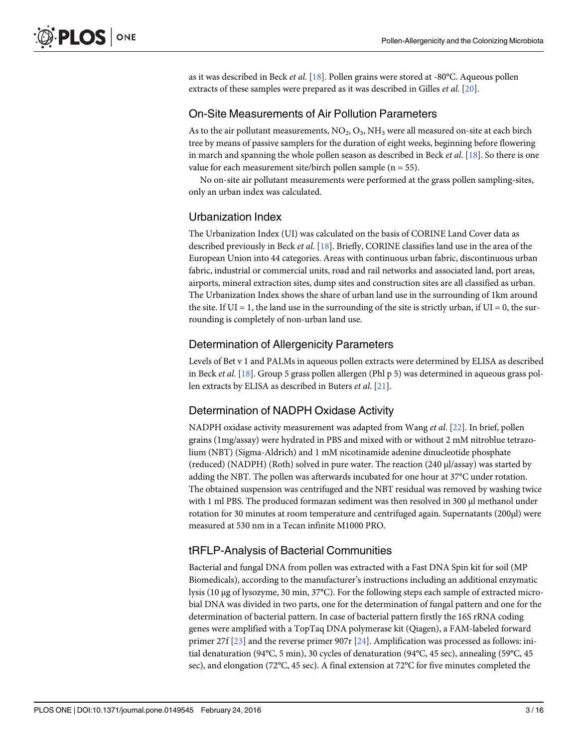<span id="page-2-0"></span>as it was described in Beck et al. [[18\]](#page-13-0). Pollen grains were stored at -80°C. Aqueous pollen extracts of these samples were prepared as it was described in Gilles et al. [[20](#page-13-0)].

#### On-Site Measurements of Air Pollution Parameters

As to the air pollutant measurements,  $NO_2$ ,  $O_3$ ,  $NH_3$  were all measured on-site at each birch tree by means of passive samplers for the duration of eight weeks, beginning before flowering in march and spanning the whole pollen season as described in Beck *et al.*  $[18]$  $[18]$ . So there is one value for each measurement site/birch pollen sample ( $n = 55$ ).

No on-site air pollutant measurements were performed at the grass pollen sampling-sites, only an urban index was calculated.

#### Urbanization Index

The Urbanization Index (UI) was calculated on the basis of CORINE Land Cover data as described previously in Beck et al. [\[18\]](#page-13-0). Briefly, CORINE classifies land use in the area of the European Union into 44 categories. Areas with continuous urban fabric, discontinuous urban fabric, industrial or commercial units, road and rail networks and associated land, port areas, airports, mineral extraction sites, dump sites and construction sites are all classified as urban. The Urbanization Index shows the share of urban land use in the surrounding of 1km around the site. If  $UI = 1$ , the land use in the surrounding of the site is strictly urban, if  $UI = 0$ , the surrounding is completely of non-urban land use.

#### Determination of Allergenicity Parameters

Levels of Bet v 1 and PALMs in aqueous pollen extracts were determined by ELISA as described in Beck et al. [[18](#page-13-0)]. Group 5 grass pollen allergen (Phl p 5) was determined in aqueous grass pollen extracts by ELISA as described in Buters et al. [[21](#page-13-0)].

#### Determination of NADPH Oxidase Activity

NADPH oxidase activity measurement was adapted from Wang et al. [[22](#page-13-0)]. In brief, pollen grains (1mg/assay) were hydrated in PBS and mixed with or without 2 mM nitroblue tetrazolium (NBT) (Sigma-Aldrich) and 1 mM nicotinamide adenine dinucleotide phosphate (reduced) (NADPH) (Roth) solved in pure water. The reaction (240 μl/assay) was started by adding the NBT. The pollen was afterwards incubated for one hour at 37°C under rotation. The obtained suspension was centrifuged and the NBT residual was removed by washing twice with 1 ml PBS. The produced formazan sediment was then resolved in 300 μl methanol under rotation for 30 minutes at room temperature and centrifuged again. Supernatants (200μl) were measured at 530 nm in a Tecan infinite M1000 PRO.

#### tRFLP-Analysis of Bacterial Communities

Bacterial and fungal DNA from pollen was extracted with a Fast DNA Spin kit for soil (MP Biomedicals), according to the manufacturer's instructions including an additional enzymatic lysis (10 μg of lysozyme, 30 min, 37°C). For the following steps each sample of extracted microbial DNA was divided in two parts, one for the determination of fungal pattern and one for the determination of bacterial pattern. In case of bacterial pattern firstly the 16S rRNA coding genes were amplified with a TopTaq DNA polymerase kit (Qiagen), a FAM-labeled forward primer 27f [[23](#page-13-0)] and the reverse primer 907r [\[24](#page-13-0)]. Amplification was processed as follows: initial denaturation (94°C, 5 min), 30 cycles of denaturation (94°C, 45 sec), annealing (59°C, 45 sec), and elongation (72°C, 45 sec). A final extension at 72°C for five minutes completed the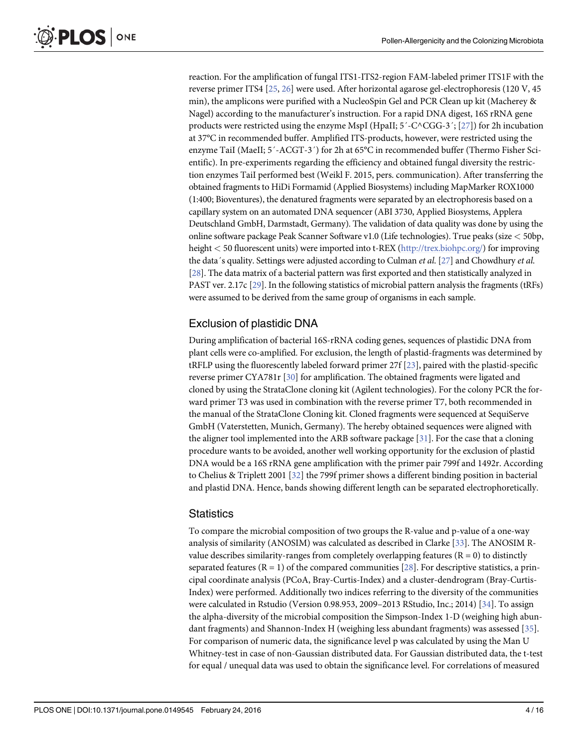<span id="page-3-0"></span>reaction. For the amplification of fungal ITS1-ITS2-region FAM-labeled primer ITS1F with the reverse primer ITS4 [\[25](#page-13-0), [26](#page-13-0)] were used. After horizontal agarose gel-electrophoresis (120 V, 45 min), the amplicons were purified with a NucleoSpin Gel and PCR Clean up kit (Macherey & Nagel) according to the manufacturer's instruction. For a rapid DNA digest, 16S rRNA gene products were restricted using the enzyme MspI (HpaII;  $5'-C\wedge CGG-3'$ ; [[27](#page-14-0)]) for 2h incubation at 37°C in recommended buffer. Amplified ITS-products, however, were restricted using the enzyme TaiI (MaeII; 5´-ACGT-3´) for 2h at 65°C in recommended buffer (Thermo Fisher Scientific). In pre-experiments regarding the efficiency and obtained fungal diversity the restriction enzymes TaiI performed best (Weikl F. 2015, pers. communication). After transferring the obtained fragments to HiDi Formamid (Applied Biosystems) including MapMarker ROX1000 (1:400; Bioventures), the denatured fragments were separated by an electrophoresis based on a capillary system on an automated DNA sequencer (ABI 3730, Applied Biosystems, Applera Deutschland GmbH, Darmstadt, Germany). The validation of data quality was done by using the online software package Peak Scanner Software v1.0 (Life technologies). True peaks (size < 50bp, height < 50 fluorescent units) were imported into t-REX (<http://trex.biohpc.org/>) for improving the data´s quality. Settings were adjusted according to Culman et al. [[27](#page-14-0)] and Chowdhury et al. [\[28\]](#page-14-0). The data matrix of a bacterial pattern was first exported and then statistically analyzed in PAST ver. 2.17c [\[29\]](#page-14-0). In the following statistics of microbial pattern analysis the fragments (tRFs) were assumed to be derived from the same group of organisms in each sample.

# Exclusion of plastidic DNA

During amplification of bacterial 16S-rRNA coding genes, sequences of plastidic DNA from plant cells were co-amplified. For exclusion, the length of plastid-fragments was determined by tRFLP using the fluorescently labeled forward primer  $27f$  [[23](#page-13-0)], paired with the plastid-specific reverse primer CYA781r [\[30\]](#page-14-0) for amplification. The obtained fragments were ligated and cloned by using the StrataClone cloning kit (Agilent technologies). For the colony PCR the forward primer T3 was used in combination with the reverse primer T7, both recommended in the manual of the StrataClone Cloning kit. Cloned fragments were sequenced at SequiServe GmbH (Vaterstetten, Munich, Germany). The hereby obtained sequences were aligned with the aligner tool implemented into the ARB software package [\[31\]](#page-14-0). For the case that a cloning procedure wants to be avoided, another well working opportunity for the exclusion of plastid DNA would be a 16S rRNA gene amplification with the primer pair 799f and 1492r. According to Chelius & Triplett 2001 [\[32\]](#page-14-0) the 799f primer shows a different binding position in bacterial and plastid DNA. Hence, bands showing different length can be separated electrophoretically.

# **Statistics**

To compare the microbial composition of two groups the R-value and p-value of a one-way analysis of similarity (ANOSIM) was calculated as described in Clarke [\[33\]](#page-14-0). The ANOSIM Rvalue describes similarity-ranges from completely overlapping features  $(R = 0)$  to distinctly separated features  $(R = 1)$  of the compared communities [\[28\]](#page-14-0). For descriptive statistics, a principal coordinate analysis (PCoA, Bray-Curtis-Index) and a cluster-dendrogram (Bray-Curtis-Index) were performed. Additionally two indices referring to the diversity of the communities were calculated in Rstudio (Version 0.98.953, 2009–2013 RStudio, Inc.; 2014) [[34](#page-14-0)]. To assign the alpha-diversity of the microbial composition the Simpson-Index 1-D (weighing high abundant fragments) and Shannon-Index H (weighing less abundant fragments) was assessed [[35\]](#page-14-0). For comparison of numeric data, the significance level p was calculated by using the Man U Whitney-test in case of non-Gaussian distributed data. For Gaussian distributed data, the t-test for equal / unequal data was used to obtain the significance level. For correlations of measured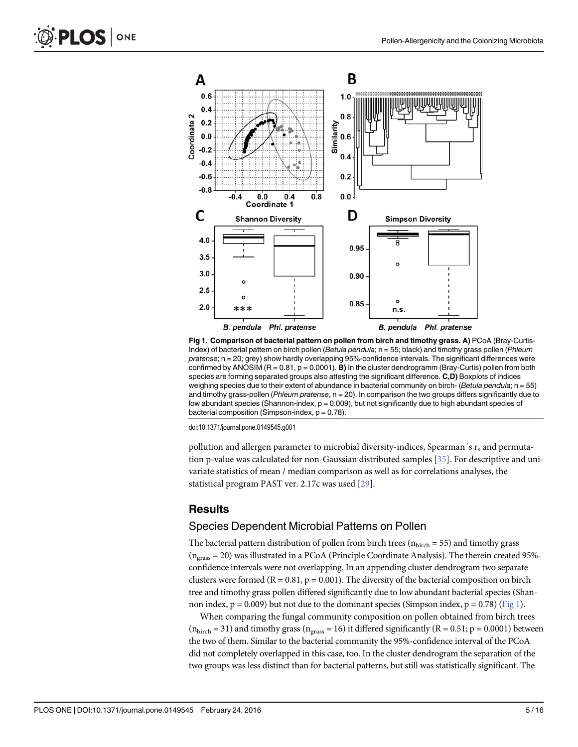



Fig 1. Comparison of bacterial pattern on pollen from birch and timothy grass. A) PCoA (Bray-Curtis-Index) of bacterial pattern on birch pollen (Betula pendula;  $n = 55$ ; black) and timothy grass pollen (Phleum pratense; n = 20; grey) show hardly overlapping 95%-confidence intervals. The significant differences were confirmed by ANOSIM (R =  $0.81$ , p =  $0.0001$ ). B) In the cluster dendrogramm (Bray-Curtis) pollen from both species are forming separated groups also attesting the significant difference. C,D) Boxplots of indices weighing species due to their extent of abundance in bacterial community on birch- (Betula pendula;  $n = 55$ ) and timothy grass-pollen (Phleum pratense,  $n = 20$ ). In comparison the two groups differs significantly due to low abundant species (Shannon-index,  $p = 0.009$ ), but not significantly due to high abundant species of bacterial composition (Simpson-index,  $p = 0.78$ ).

pollution and allergen parameter to microbial diversity-indices, Spearman´s  $r_s$  and permutation p-value was calculated for non-Gaussian distributed samples [\[35\]](#page-14-0). For descriptive and univariate statistics of mean / median comparison as well as for correlations analyses, the statistical program PAST ver. 2.17c was used [\[29\]](#page-14-0).

#### **Results**

#### Species Dependent Microbial Patterns on Pollen

The bacterial pattern distribution of pollen from birch trees ( $n<sub>birth</sub> = 55$ ) and timothy grass (ngrass = 20) was illustrated in a PCoA (Principle Coordinate Analysis). The therein created 95% confidence intervals were not overlapping. In an appending cluster dendrogram two separate clusters were formed ( $R = 0.81$ ,  $p = 0.001$ ). The diversity of the bacterial composition on birch tree and timothy grass pollen differed significantly due to low abundant bacterial species (Shannon index,  $p = 0.009$ ) but not due to the dominant species (Simpson index,  $p = 0.78$ ) (Fig 1).

When comparing the fungal community composition on pollen obtained from birch trees  $(n<sub>birth</sub> = 31)$  and timothy grass  $(n<sub>grass</sub> = 16)$  it differed significantly  $(R = 0.51; p = 0.0001)$  between the two of them. Similar to the bacterial community the 95%-confidence interval of the PCoA did not completely overlapped in this case, too. In the cluster dendrogram the separation of the two groups was less distinct than for bacterial patterns, but still was statistically significant. The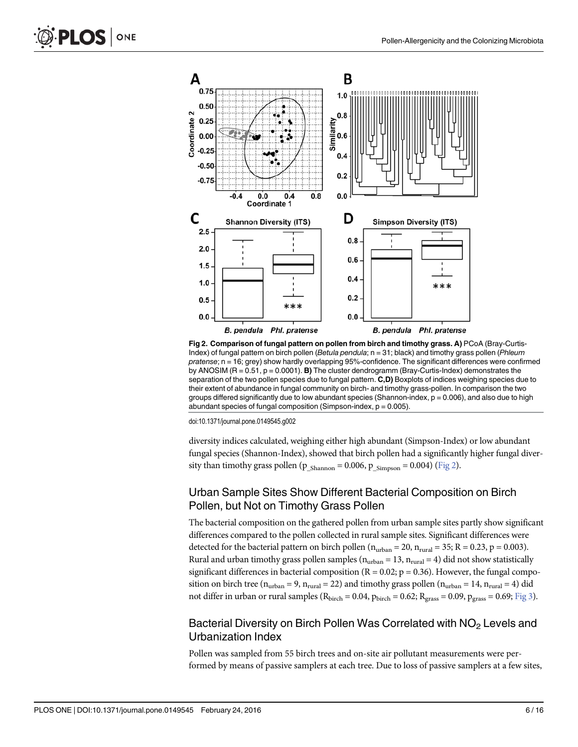<span id="page-5-0"></span>



Fig 2. Comparison of fungal pattern on pollen from birch and timothy grass. A) PCoA (Bray-Curtis-Index) of fungal pattern on birch pollen (Betula pendula; n = 31; black) and timothy grass pollen (Phleum pratense; n = 16; grey) show hardly overlapping 95%-confidence. The significant differences were confirmed by ANOSIM ( $R = 0.51$ ,  $p = 0.0001$ ). B) The cluster dendrogramm (Bray-Curtis-Index) demonstrates the separation of the two pollen species due to fungal pattern. C,D) Boxplots of indices weighing species due to their extent of abundance in fungal community on birch- and timothy grass-pollen. In comparison the two groups differed significantly due to low abundant species (Shannon-index,  $p = 0.006$ ), and also due to high abundant species of fungal composition (Simpson-index,  $p = 0.005$ ).

doi:10.1371/journal.pone.0149545.g002

diversity indices calculated, weighing either high abundant (Simpson-Index) or low abundant fungal species (Shannon-Index), showed that birch pollen had a significantly higher fungal diversity than timothy grass pollen ( $p_{Shannon} = 0.006$ ,  $p_{Simpson} = 0.004$ ) (Fig 2).

# Urban Sample Sites Show Different Bacterial Composition on Birch Pollen, but Not on Timothy Grass Pollen

The bacterial composition on the gathered pollen from urban sample sites partly show significant differences compared to the pollen collected in rural sample sites. Significant differences were detected for the bacterial pattern on birch pollen ( $n_{urban} = 20$ ,  $n_{rural} = 35$ ; R = 0.23, p = 0.003). Rural and urban timothy grass pollen samples ( $n_{urban} = 13$ ,  $n_{rural} = 4$ ) did not show statistically significant differences in bacterial composition ( $R = 0.02$ ;  $p = 0.36$ ). However, the fungal composition on birch tree ( $n_{\text{urban}} = 9$ ,  $n_{\text{rural}} = 22$ ) and timothy grass pollen ( $n_{\text{urban}} = 14$ ,  $n_{\text{rural}} = 4$ ) did not differ in urban or rural samples ( $R_{\text{birth}} = 0.04$ ,  $p_{\text{birth}} = 0.62$ ;  $R_{\text{grass}} = 0.09$ ,  $p_{\text{grass}} = 0.69$ ;  $\underline{Fig 3}$  $\underline{Fig 3}$  $\underline{Fig 3}$ ).

# Bacterial Diversity on Birch Pollen Was Correlated with  $NO<sub>2</sub>$  Levels and Urbanization Index

Pollen was sampled from 55 birch trees and on-site air pollutant measurements were performed by means of passive samplers at each tree. Due to loss of passive samplers at a few sites,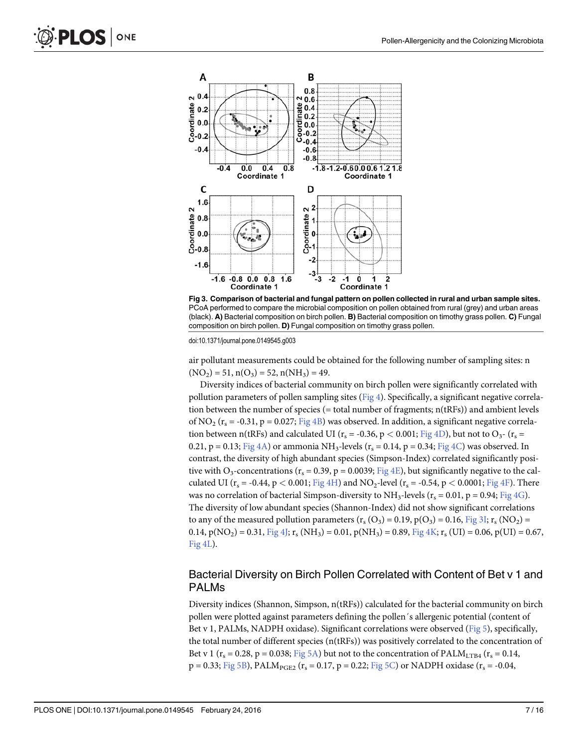<span id="page-6-0"></span>

[Fig 3. C](#page-5-0)omparison of bacterial and fungal pattern on pollen collected in rural and urban sample sites. PCoA performed to compare the microbial composition on pollen obtained from rural (grey) and urban areas (black). A) Bacterial composition on birch pollen. B) Bacterial composition on timothy grass pollen. C) Fungal composition on birch pollen. D) Fungal composition on timothy grass pollen.

air pollutant measurements could be obtained for the following number of sampling sites: n  $(NO<sub>2</sub>) = 51$ ,  $n(O<sub>3</sub>) = 52$ ,  $n(NH<sub>3</sub>) = 49$ .

Diversity indices of bacterial community on birch pollen were significantly correlated with pollution parameters of pollen sampling sites  $(Fig 4)$  $(Fig 4)$  $(Fig 4)$ . Specifically, a significant negative correlation between the number of species ( $=$  total number of fragments;  $n(tRFs)$ ) and ambient levels of NO<sub>2</sub> ( $r_s$  = -0.31, p = 0.027; [Fig 4B\)](#page-7-0) was observed. In addition, a significant negative correlation between n(tRFs) and calculated UI ( $r_s = -0.36$ ,  $p < 0.001$ ; [Fig 4D\)](#page-7-0), but not to  $O_3$ - ( $r_s =$ 0.21,  $p = 0.13$ ; [Fig 4A\)](#page-7-0) or ammonia NH<sub>3</sub>-levels ( $r_s = 0.14$ ,  $p = 0.34$ ; [Fig 4C](#page-7-0)) was observed. In contrast, the diversity of high abundant species (Simpson-Index) correlated significantly positive with O<sub>3</sub>-concentrations ( $r_s = 0.39$ ,  $p = 0.0039$ ; [Fig 4E](#page-7-0)), but significantly negative to the calculated UI ( $r_s = -0.44$ ,  $p < 0.001$ ; [Fig 4H](#page-7-0)) and NO<sub>2</sub>-level ( $r_s = -0.54$ ,  $p < 0.0001$ ; [Fig 4F](#page-7-0)). There was no correlation of bacterial Simpson-diversity to  $NH_3$ -levels ( $r_s = 0.01$ ,  $p = 0.94$ ; [Fig 4G](#page-7-0)). The diversity of low abundant species (Shannon-Index) did not show significant correlations to any of the measured pollution parameters  $(r_s (O_3) = 0.19, p(O_3) = 0.16,$  Fig 3I;  $r_s (NO_2) =$ 0.14,  $p(NO_2) = 0.31$ ,  $Fig 4$ ];  $r_s(NH_3) = 0.01$ ,  $p(NH_3) = 0.89$ ,  $Fig 4K$ ;  $r_s (UI) = 0.06$ ,  $p(UI) = 0.67$ , Fig  $4L$ ).

# Bacterial Diversity on Birch Pollen Correlated with Content of Bet v 1 and PALMs

Diversity indices (Shannon, Simpson, n(tRFs)) calculated for the bacterial community on birch pollen were plotted against parameters defining the pollen´s allergenic potential (content of Bet v 1, PALMs, NADPH oxidase). Significant correlations were observed ([Fig 5](#page-8-0)), specifically, the total number of different species (n(tRFs)) was positively correlated to the concentration of Bet v 1 ( $r_s$  = 0.28, p = 0.038; [Fig 5A](#page-8-0)) but not to the concentration of PALM<sub>LTB4</sub> ( $r_s$  = 0.14,  $p = 0.33$ ; [Fig 5B\)](#page-8-0), PALM<sub>PGE2</sub> ( $r_s = 0.17$ ,  $p = 0.22$ ; [Fig 5C\)](#page-8-0) or NADPH oxidase ( $r_s = -0.04$ ,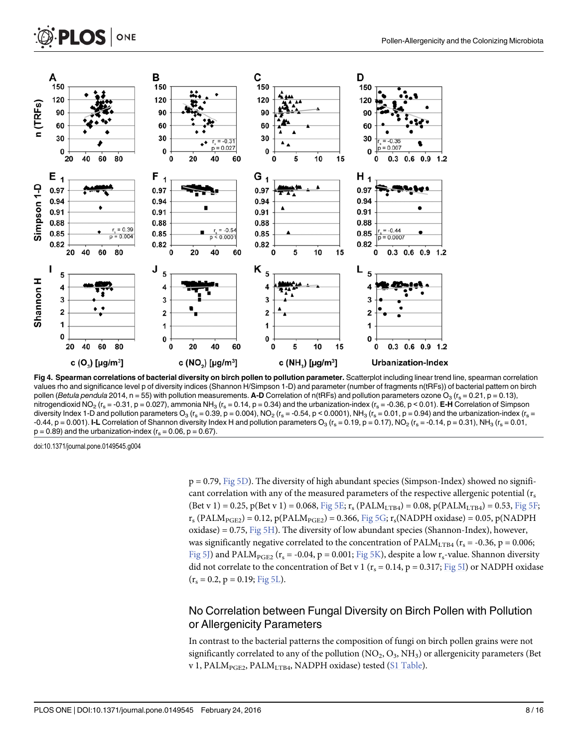

[Fig 4. S](#page-6-0)pearman correlations of bacterial diversity on birch pollen to pollution parameter. Scatterplot including linear trend line, spearman correlation values rho and significance level p of diversity indices (Shannon H/Simpson 1-D) and parameter (number of fragments n(tRFs)) of bacterial pattern on birch pollen (Betula pendula 2014, n = 55) with pollution measurements. A-D Correlation of n(tRFs) and pollution parameters ozone  $O_3$  ( $r_s$  = 0.21, p = 0.13), nitrogendioxid NO<sub>2</sub> ( $r_s$  = -0.31, p = 0.027), ammonia NH<sub>3</sub> ( $r_s$  = 0.14, p = 0.34) and the urbanization-index ( $r_s$  = -0.36, p < 0.01). **E-H** Correlation of Simpson diversity Index 1-D and pollution parameters  $O_3$  ( $r_s = 0.39$ , p = 0.004), NO<sub>2</sub> ( $r_s = -0.54$ , p < 0.0001), NH<sub>3</sub> ( $r_s = 0.01$ , p = 0.94) and the urbanization-index ( $r_s =$ -0.44,  $p = 0.001$ ). I-L Correlation of Shannon diversity Index H and pollution parameters  $O_3$  ( $r_s = 0.19$ ,  $p = 0.17$ ),  $NO_2$  ( $r_s = -0.14$ ,  $p = 0.31$ ),  $NH_3$  ( $r_s = 0.01$ ,  $p = 0.89$ ) and the urbanization-index ( $r_s = 0.06$ ,  $p = 0.67$ ).

<span id="page-7-0"></span>PLOS I

ONE

 $p = 0.79$ , [Fig 5D\)](#page-8-0). The diversity of high abundant species (Simpson-Index) showed no significant correlation with any of the measured parameters of the respective allergenic potential  $(r<sub>s</sub>)$  $(\text{Det v 1}) = 0.25$ ,  $p(\text{Det v 1}) = 0.068$ ,  $\text{Fig 5E; r_s}$  $\text{Fig 5E; r_s}$  $\text{Fig 5E; r_s}$   $(\text{PALM}_{\text{LTB4}}) = 0.08$ ,  $p(\text{PALM}_{\text{LTB4}}) = 0.53$ ,  $\text{Fig 5E; r_s}$  $r_s$  (PALM<sub>PGE2</sub>) = 0.12, p(PALM<sub>PGE2</sub>) = 0.366, [Fig 5G](#page-8-0);  $r_s$ (NADPH oxidase) = 0.05, p(NADPH oxidase) = 0.75, [Fig 5H](#page-8-0)). The diversity of low abundant species (Shannon-Index), however, was significantly negative correlated to the concentration of  $PALM<sub>LTBA</sub>$  ( $r<sub>s</sub> = -0.36$ ,  $p = 0.006$ ; [Fig 5J\)](#page-8-0) and PALM<sub>PGE2</sub> ( $r_s$  = -0.04, p = 0.001; [Fig 5K](#page-8-0)), despite a low  $r_s$ -value. Shannon diversity did not correlate to the concentration of Bet v 1 ( $r_s = 0.14$ , p = 0.317; [Fig 5I](#page-8-0)) or NADPH oxidase  $(r_s = 0.2, p = 0.19;$  [Fig 5L](#page-8-0)).

# No Correlation between Fungal Diversity on Birch Pollen with Pollution or Allergenicity Parameters

In contrast to the bacterial patterns the composition of fungi on birch pollen grains were not significantly correlated to any of the pollution  $(NO_2, O_3, NH_3)$  or allergenicity parameters (Bet v 1, PALM<sub>PGE2</sub>, PALM<sub>LTB4</sub>, NADPH oxidase) tested [\(S1 Table](#page-11-0)).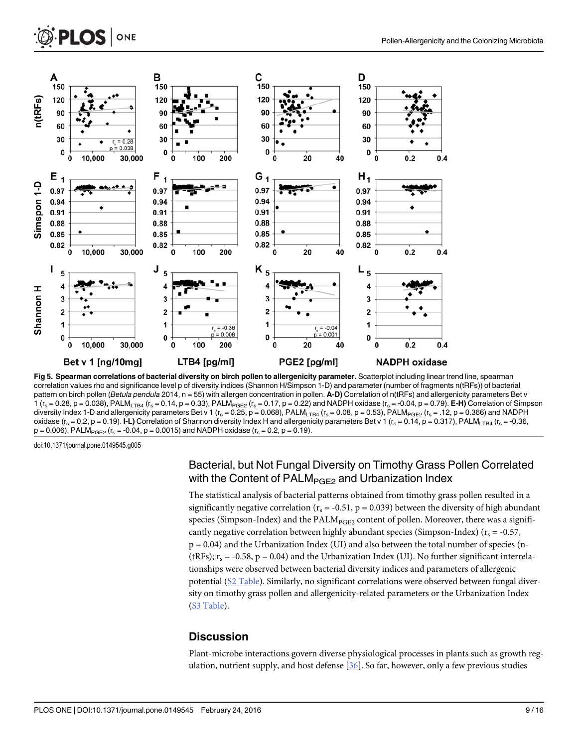

[Fig 5. S](#page-6-0)pearman correlations of bacterial diversity on birch pollen to allergenicity parameter. Scatterplot including linear trend line, spearman correlation values rho and significance level p of diversity indices (Shannon H/Simpson 1-D) and parameter (number of fragments n(tRFs)) of bacterial pattern on birch pollen (Betula pendula 2014, n = 55) with allergen concentration in pollen. A-D) Correlation of n(tRFs) and allergenicity parameters Bet v 1 ( $r_s$  = 0.28, p = 0.038), PALM<sub>LTB4</sub> ( $r_s$  = 0.14, p = 0.33), PALM<sub>PGE2</sub> ( $r_s$  = 0.17, p = 0.22) and NADPH oxidase ( $r_s$  = -0.04, p = 0.79). **E-H)** Correlation of Simpson diversity Index 1-D and allergenicity parameters Bet v 1 ( $r_s$  = 0.25, p = 0.068), PALM<sub>LTB4</sub> ( $r_s$  = 0.08, p = 0.53), PALM<sub>PGE2</sub> ( $r_s$  = .12, p = 0.366) and NADPH oxidase ( $r_s = 0.2$ , p = 0.19). **I-L)** Correlation of Shannon diversity Index H and allergenicity parameters Bet v 1 ( $r_s = 0.14$ , p = 0.317), PALM<sub>LTB4</sub> ( $r_s = -0.36$ ,  $p = 0.006$ ), PALM $_{PGE2}$  ( $r_s = -0.04$ ,  $p = 0.0015$ ) and NADPH oxidase ( $r_s = 0.2$ ,  $p = 0.19$ ).

<span id="page-8-0"></span>PLOS I

ONE

# Bacterial, but Not Fungal Diversity on Timothy Grass Pollen Correlated with the Content of PALM $_{\text{PGF2}}$  and Urbanization Index

The statistical analysis of bacterial patterns obtained from timothy grass pollen resulted in a significantly negative correlation ( $r_s = -0.51$ ,  $p = 0.039$ ) between the diversity of high abundant species (Simpson-Index) and the  $\text{PALM}_{\text{PGE2}}$  content of pollen. Moreover, there was a significantly negative correlation between highly abundant species (Simpson-Index) ( $r_s = -0.57$ , p = 0.04) and the Urbanization Index (UI) and also between the total number of species (n- (tRFs);  $r_s = -0.58$ ,  $p = 0.04$ ) and the Urbanization Index (UI). No further significant interrelationships were observed between bacterial diversity indices and parameters of allergenic potential ([S2 Table\)](#page-12-0). Similarly, no significant correlations were observed between fungal diversity on timothy grass pollen and allergenicity-related parameters or the Urbanization Index [\(S3 Table](#page-12-0)).

#### **Discussion**

Plant-microbe interactions govern diverse physiological processes in plants such as growth regulation, nutrient supply, and host defense  $[36]$  $[36]$  $[36]$ . So far, however, only a few previous studies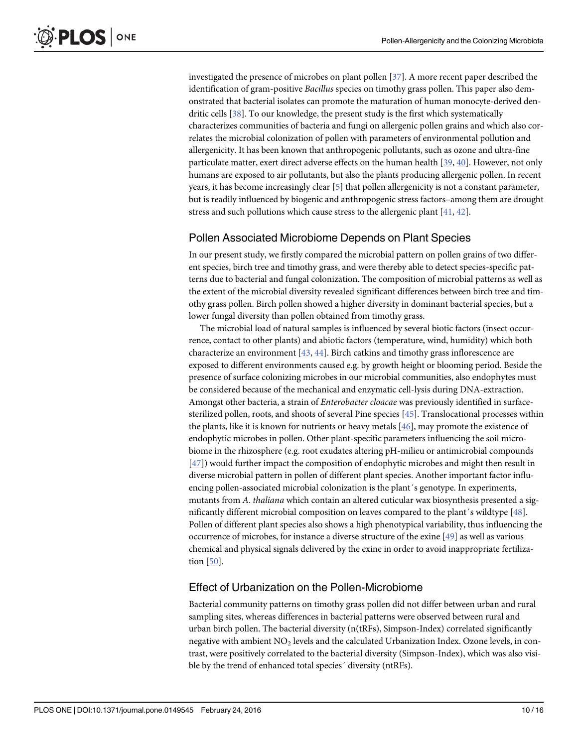<span id="page-9-0"></span>investigated the presence of microbes on plant pollen [[37](#page-14-0)]. A more recent paper described the identification of gram-positive Bacillus species on timothy grass pollen. This paper also demonstrated that bacterial isolates can promote the maturation of human monocyte-derived dendritic cells [\[38\]](#page-14-0). To our knowledge, the present study is the first which systematically characterizes communities of bacteria and fungi on allergenic pollen grains and which also correlates the microbial colonization of pollen with parameters of environmental pollution and allergenicity. It has been known that anthropogenic pollutants, such as ozone and ultra-fine particulate matter, exert direct adverse effects on the human health [[39](#page-14-0), [40](#page-14-0)]. However, not only humans are exposed to air pollutants, but also the plants producing allergenic pollen. In recent years, it has become increasingly clear [[5](#page-12-0)] that pollen allergenicity is not a constant parameter, but is readily influenced by biogenic and anthropogenic stress factors–among them are drought stress and such pollutions which cause stress to the allergenic plant  $[41, 42]$  $[41, 42]$  $[41, 42]$  $[41, 42]$  $[41, 42]$ .

#### Pollen Associated Microbiome Depends on Plant Species

In our present study, we firstly compared the microbial pattern on pollen grains of two different species, birch tree and timothy grass, and were thereby able to detect species-specific patterns due to bacterial and fungal colonization. The composition of microbial patterns as well as the extent of the microbial diversity revealed significant differences between birch tree and timothy grass pollen. Birch pollen showed a higher diversity in dominant bacterial species, but a lower fungal diversity than pollen obtained from timothy grass.

The microbial load of natural samples is influenced by several biotic factors (insect occurrence, contact to other plants) and abiotic factors (temperature, wind, humidity) which both characterize an environment [\[43,](#page-14-0) [44\]](#page-14-0). Birch catkins and timothy grass inflorescence are exposed to different environments caused e.g. by growth height or blooming period. Beside the presence of surface colonizing microbes in our microbial communities, also endophytes must be considered because of the mechanical and enzymatic cell-lysis during DNA-extraction. Amongst other bacteria, a strain of Enterobacter cloacae was previously identified in surfacesterilized pollen, roots, and shoots of several Pine species [\[45\]](#page-14-0). Translocational processes within the plants, like it is known for nutrients or heavy metals [\[46](#page-14-0)], may promote the existence of endophytic microbes in pollen. Other plant-specific parameters influencing the soil microbiome in the rhizosphere (e.g. root exudates altering pH-milieu or antimicrobial compounds [\[47](#page-14-0)]) would further impact the composition of endophytic microbes and might then result in diverse microbial pattern in pollen of different plant species. Another important factor influencing pollen-associated microbial colonization is the plant´s genotype. In experiments, mutants from A. thaliana which contain an altered cuticular wax biosynthesis presented a significantly different microbial composition on leaves compared to the plant's wildtype  $[48]$  $[48]$  $[48]$ . Pollen of different plant species also shows a high phenotypical variability, thus influencing the occurrence of microbes, for instance a diverse structure of the exine [\[49\]](#page-14-0) as well as various chemical and physical signals delivered by the exine in order to avoid inappropriate fertilization [[50](#page-15-0)].

# Effect of Urbanization on the Pollen-Microbiome

Bacterial community patterns on timothy grass pollen did not differ between urban and rural sampling sites, whereas differences in bacterial patterns were observed between rural and urban birch pollen. The bacterial diversity (n(tRFs), Simpson-Index) correlated significantly negative with ambient  $NO<sub>2</sub>$  levels and the calculated Urbanization Index. Ozone levels, in contrast, were positively correlated to the bacterial diversity (Simpson-Index), which was also visible by the trend of enhanced total species´ diversity (ntRFs).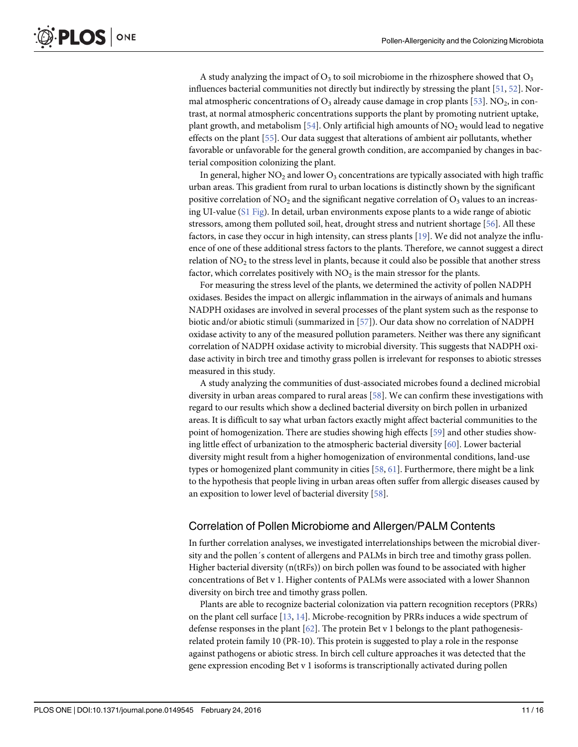<span id="page-10-0"></span>A study analyzing the impact of  $O_3$  to soil microbiome in the rhizosphere showed that  $O_3$ influences bacterial communities not directly but indirectly by stressing the plant  $[51, 52]$  $[51, 52]$  $[51, 52]$ . Normal atmospheric concentrations of  $O_3$  already cause damage in crop plants [[53](#page-15-0)]. NO<sub>2</sub>, in contrast, at normal atmospheric concentrations supports the plant by promoting nutrient uptake, plant growth, and metabolism [[54\]](#page-15-0). Only artificial high amounts of  $NO<sub>2</sub>$  would lead to negative effects on the plant [[55](#page-15-0)]. Our data suggest that alterations of ambient air pollutants, whether favorable or unfavorable for the general growth condition, are accompanied by changes in bacterial composition colonizing the plant.

In general, higher  $NO<sub>2</sub>$  and lower  $O<sub>3</sub>$  concentrations are typically associated with high traffic urban areas. This gradient from rural to urban locations is distinctly shown by the significant positive correlation of NO<sub>2</sub> and the significant negative correlation of  $O_3$  values to an increasing UI-value ( $SI$  Fig). In detail, urban environments expose plants to a wide range of abiotic stressors, among them polluted soil, heat, drought stress and nutrient shortage [\[56\]](#page-15-0). All these factors, in case they occur in high intensity, can stress plants [[19](#page-13-0)]. We did not analyze the influence of one of these additional stress factors to the plants. Therefore, we cannot suggest a direct relation of  $NO<sub>2</sub>$  to the stress level in plants, because it could also be possible that another stress factor, which correlates positively with  $NO<sub>2</sub>$  is the main stressor for the plants.

For measuring the stress level of the plants, we determined the activity of pollen NADPH oxidases. Besides the impact on allergic inflammation in the airways of animals and humans NADPH oxidases are involved in several processes of the plant system such as the response to biotic and/or abiotic stimuli (summarized in [\[57\]](#page-15-0)). Our data show no correlation of NADPH oxidase activity to any of the measured pollution parameters. Neither was there any significant correlation of NADPH oxidase activity to microbial diversity. This suggests that NADPH oxidase activity in birch tree and timothy grass pollen is irrelevant for responses to abiotic stresses measured in this study.

A study analyzing the communities of dust-associated microbes found a declined microbial diversity in urban areas compared to rural areas [[58](#page-15-0)]. We can confirm these investigations with regard to our results which show a declined bacterial diversity on birch pollen in urbanized areas. It is difficult to say what urban factors exactly might affect bacterial communities to the point of homogenization. There are studies showing high effects [[59](#page-15-0)] and other studies showing little effect of urbanization to the atmospheric bacterial diversity [[60](#page-15-0)]. Lower bacterial diversity might result from a higher homogenization of environmental conditions, land-use types or homogenized plant community in cities  $[58, 61]$  $[58, 61]$  $[58, 61]$  $[58, 61]$ . Furthermore, there might be a link to the hypothesis that people living in urban areas often suffer from allergic diseases caused by an exposition to lower level of bacterial diversity [\[58\]](#page-15-0).

#### Correlation of Pollen Microbiome and Allergen/PALM Contents

In further correlation analyses, we investigated interrelationships between the microbial diversity and the pollen´s content of allergens and PALMs in birch tree and timothy grass pollen. Higher bacterial diversity  $(n(t)RFs)$  on birch pollen was found to be associated with higher concentrations of Bet v 1. Higher contents of PALMs were associated with a lower Shannon diversity on birch tree and timothy grass pollen.

Plants are able to recognize bacterial colonization via pattern recognition receptors (PRRs) on the plant cell surface  $[13, 14]$  $[13, 14]$  $[13, 14]$ . Microbe-recognition by PRRs induces a wide spectrum of defense responses in the plant  $[62]$  $[62]$  $[62]$ . The protein Bet v 1 belongs to the plant pathogenesisrelated protein family 10 (PR-10). This protein is suggested to play a role in the response against pathogens or abiotic stress. In birch cell culture approaches it was detected that the gene expression encoding Bet v 1 isoforms is transcriptionally activated during pollen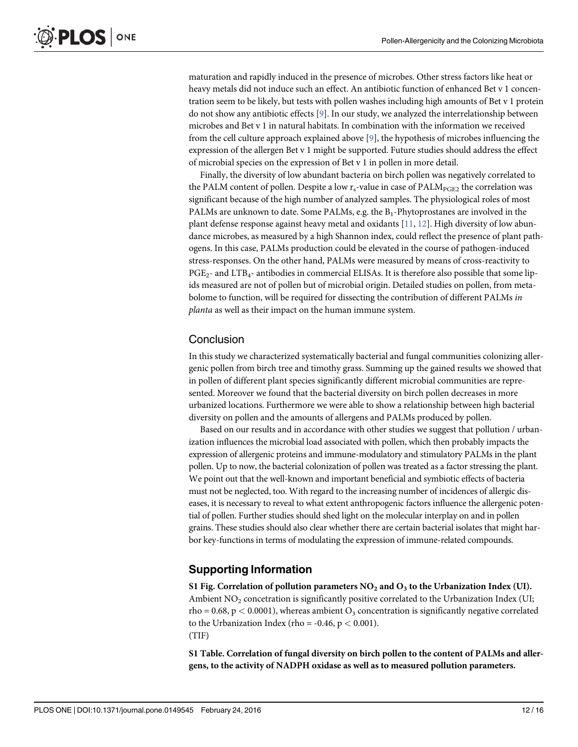<span id="page-11-0"></span>maturation and rapidly induced in the presence of microbes. Other stress factors like heat or heavy metals did not induce such an effect. An antibiotic function of enhanced Bet v 1 concentration seem to be likely, but tests with pollen washes including high amounts of Bet v 1 protein do not show any antibiotic effects [\[9](#page-13-0)]. In our study, we analyzed the interrelationship between microbes and Bet v 1 in natural habitats. In combination with the information we received from the cell culture approach explained above [\[9](#page-13-0)], the hypothesis of microbes influencing the expression of the allergen Bet v 1 might be supported. Future studies should address the effect of microbial species on the expression of Bet v 1 in pollen in more detail.

Finally, the diversity of low abundant bacteria on birch pollen was negatively correlated to the PALM content of pollen. Despite a low  $r_s$ -value in case of PALM $_{PGE2}$  the correlation was significant because of the high number of analyzed samples. The physiological roles of most PALMs are unknown to date. Some PALMs, e.g. the B<sub>1</sub>-Phytoprostanes are involved in the plant defense response against heavy metal and oxidants [[11](#page-13-0), [12](#page-13-0)]. High diversity of low abundance microbes, as measured by a high Shannon index, could reflect the presence of plant pathogens. In this case, PALMs production could be elevated in the course of pathogen-induced stress-responses. On the other hand, PALMs were measured by means of cross-reactivity to  $PGE<sub>2</sub>$ - and  $LTB<sub>4</sub>$ - antibodies in commercial ELISAs. It is therefore also possible that some lipids measured are not of pollen but of microbial origin. Detailed studies on pollen, from metabolome to function, will be required for dissecting the contribution of different PALMs in planta as well as their impact on the human immune system.

#### Conclusion

In this study we characterized systematically bacterial and fungal communities colonizing allergenic pollen from birch tree and timothy grass. Summing up the gained results we showed that in pollen of different plant species significantly different microbial communities are represented. Moreover we found that the bacterial diversity on birch pollen decreases in more urbanized locations. Furthermore we were able to show a relationship between high bacterial diversity on pollen and the amounts of allergens and PALMs produced by pollen.

Based on our results and in accordance with other studies we suggest that pollution / urbanization influences the microbial load associated with pollen, which then probably impacts the expression of allergenic proteins and immune-modulatory and stimulatory PALMs in the plant pollen. Up to now, the bacterial colonization of pollen was treated as a factor stressing the plant. We point out that the well-known and important beneficial and symbiotic effects of bacteria must not be neglected, too. With regard to the increasing number of incidences of allergic diseases, it is necessary to reveal to what extent anthropogenic factors influence the allergenic potential of pollen. Further studies should shed light on the molecular interplay on and in pollen grains. These studies should also clear whether there are certain bacterial isolates that might harbor key-functions in terms of modulating the expression of immune-related compounds.

# Supporting Information

[S1 Fig.](http://www.plosone.org/article/fetchSingleRepresentation.action?uri=info:doi/10.1371/journal.pone.0149545.s001) Correlation of pollution parameters  $NO<sub>2</sub>$  and  $O<sub>3</sub>$  to the Urbanization Index (UI). Ambient  $NO<sub>2</sub>$  concetration is significantly positive correlated to the Urbanization Index (UI; rho = 0.68, p < 0.0001), whereas ambient  $O_3$  concentration is significantly negative correlated to the Urbanization Index (rho = -0.46,  $p < 0.001$ ). (TIF)

[S1 Table](http://www.plosone.org/article/fetchSingleRepresentation.action?uri=info:doi/10.1371/journal.pone.0149545.s002). Correlation of fungal diversity on birch pollen to the content of PALMs and allergens, to the activity of NADPH oxidase as well as to measured pollution parameters.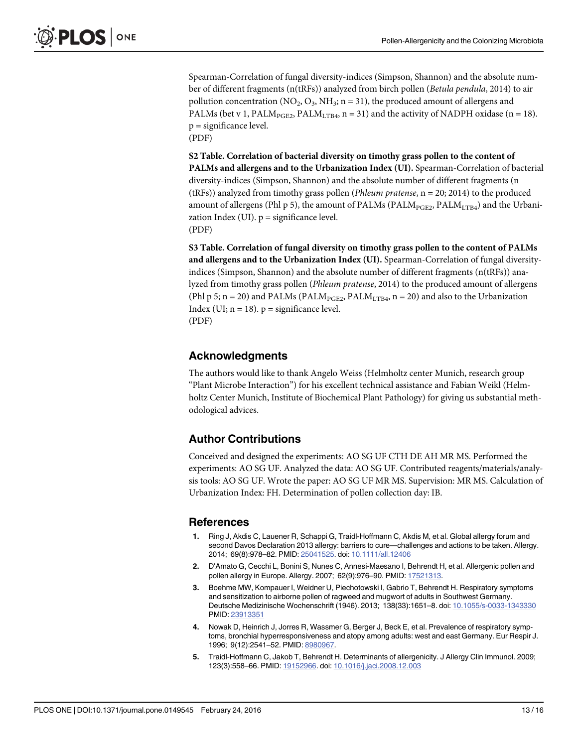<span id="page-12-0"></span>Spearman-Correlation of fungal diversity-indices (Simpson, Shannon) and the absolute number of different fragments (n(tRFs)) analyzed from birch pollen (Betula pendula, 2014) to air pollution concentration ( $NO_2$ ,  $O_3$ ,  $NH_3$ ; n = 31), the produced amount of allergens and PALMs (bet v 1, PALM<sub>PGE2</sub>, PALM<sub>LTB4</sub>, n = 31) and the activity of NADPH oxidase (n = 18). p = significance level. (PDF)

[S2 Table](http://www.plosone.org/article/fetchSingleRepresentation.action?uri=info:doi/10.1371/journal.pone.0149545.s003). Correlation of bacterial diversity on timothy grass pollen to the content of PALMs and allergens and to the Urbanization Index (UI). Spearman-Correlation of bacterial diversity-indices (Simpson, Shannon) and the absolute number of different fragments (n (tRFs)) analyzed from timothy grass pollen (*Phleum pratense*,  $n = 20$ ; 2014) to the produced amount of allergens (Phl p 5), the amount of PALMs (PALM<sub>PGE2</sub>, PALM<sub>LTB4</sub>) and the Urbanization Index (UI).  $p =$  significance level. (PDF)

[S3 Table](http://www.plosone.org/article/fetchSingleRepresentation.action?uri=info:doi/10.1371/journal.pone.0149545.s004). Correlation of fungal diversity on timothy grass pollen to the content of PALMs and allergens and to the Urbanization Index (UI). Spearman-Correlation of fungal diversityindices (Simpson, Shannon) and the absolute number of different fragments (n(tRFs)) analyzed from timothy grass pollen (Phleum pratense, 2014) to the produced amount of allergens (Phl p 5; n = 20) and PALMs (PALM<sub>PGE2</sub>, PALM<sub>LTB4</sub>, n = 20) and also to the Urbanization Index (UI;  $n = 18$ ).  $p =$  significance level. (PDF)

# Acknowledgments

The authors would like to thank Angelo Weiss (Helmholtz center Munich, research group "Plant Microbe Interaction") for his excellent technical assistance and Fabian Weikl (Helmholtz Center Munich, Institute of Biochemical Plant Pathology) for giving us substantial methodological advices.

# Author Contributions

Conceived and designed the experiments: AO SG UF CTH DE AH MR MS. Performed the experiments: AO SG UF. Analyzed the data: AO SG UF. Contributed reagents/materials/analysis tools: AO SG UF. Wrote the paper: AO SG UF MR MS. Supervision: MR MS. Calculation of Urbanization Index: FH. Determination of pollen collection day: IB.

#### References

- [1.](#page-0-0) Ring J, Akdis C, Lauener R, Schappi G, Traidl-Hoffmann C, Akdis M, et al. Global allergy forum and second Davos Declaration 2013 allergy: barriers to cure—challenges and actions to be taken. Allergy. 2014; 69(8):978–82. PMID: [25041525](http://www.ncbi.nlm.nih.gov/pubmed/25041525). doi: [10.1111/all.12406](http://dx.doi.org/10.1111/all.12406)
- [2.](#page-1-0) D'Amato G, Cecchi L, Bonini S, Nunes C, Annesi-Maesano I, Behrendt H, et al. Allergenic pollen and pollen allergy in Europe. Allergy. 2007; 62(9):976–90. PMID: [17521313](http://www.ncbi.nlm.nih.gov/pubmed/17521313).
- [3.](#page-1-0) Boehme MW, Kompauer I, Weidner U, Piechotowski I, Gabrio T, Behrendt H. Respiratory symptoms and sensitization to airborne pollen of ragweed and mugwort of adults in Southwest Germany. Deutsche Medizinische Wochenschrift (1946). 2013; 138(33):1651–8. doi: [10.1055/s-0033-1343330](http://dx.doi.org/10.1055/s-0033-1343330) PMID: [23913351](http://www.ncbi.nlm.nih.gov/pubmed/23913351)
- [4.](#page-1-0) Nowak D, Heinrich J, Jorres R, Wassmer G, Berger J, Beck E, et al. Prevalence of respiratory symptoms, bronchial hyperresponsiveness and atopy among adults: west and east Germany. Eur Respir J. 1996; 9(12):2541–52. PMID: [8980967](http://www.ncbi.nlm.nih.gov/pubmed/8980967).
- [5.](#page-1-0) Traidl-Hoffmann C, Jakob T, Behrendt H. Determinants of allergenicity. J Allergy Clin Immunol. 2009; 123(3):558–66. PMID: [19152966](http://www.ncbi.nlm.nih.gov/pubmed/19152966). doi: [10.1016/j.jaci.2008.12.003](http://dx.doi.org/10.1016/j.jaci.2008.12.003)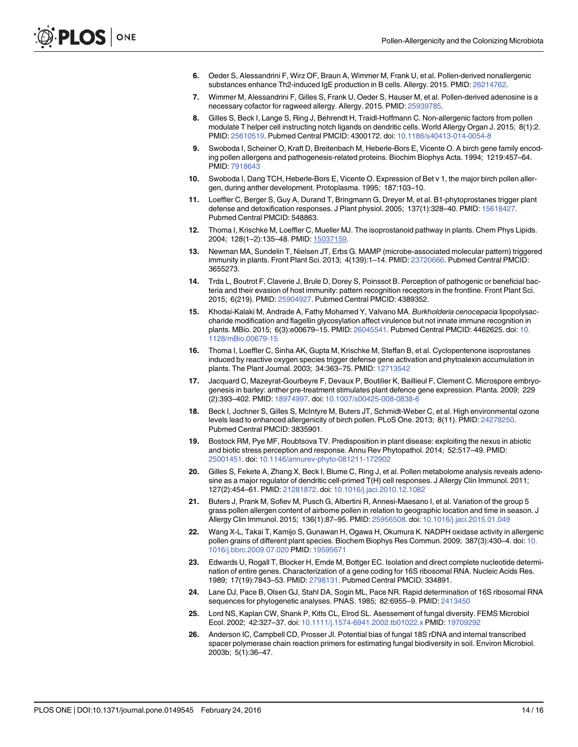- <span id="page-13-0"></span>[6.](#page-1-0) Oeder S, Alessandrini F, Wirz OF, Braun A, Wimmer M, Frank U, et al. Pollen-derived nonallergenic substances enhance Th2-induced IgE production in B cells. Allergy. 2015. PMID: [26214762](http://www.ncbi.nlm.nih.gov/pubmed/26214762).
- 7. Wimmer M, Alessandrini F, Gilles S, Frank U, Oeder S, Hauser M, et al. Pollen-derived adenosine is a necessary cofactor for ragweed allergy. Allergy. 2015. PMID: [25939785](http://www.ncbi.nlm.nih.gov/pubmed/25939785).
- [8.](#page-1-0) Gilles S, Beck I, Lange S, Ring J, Behrendt H, Traidl-Hoffmann C. Non-allergenic factors from pollen modulate T helper cell instructing notch ligands on dendritic cells. World Allergy Organ J. 2015; 8(1):2. PMID: [25610519.](http://www.ncbi.nlm.nih.gov/pubmed/25610519) Pubmed Central PMCID: 4300172. doi: [10.1186/s40413-014-0054-8](http://dx.doi.org/10.1186/s40413-014-0054-8)
- [9.](#page-1-0) Swoboda I, Scheiner O, Kraft D, Breitenbach M, Heberle-Bors E, Vicente O. A birch gene family encoding pollen allergens and pathogenesis-related proteins. Biochim Biophys Acta. 1994; 1219:457–64. PMID: [7918643](http://www.ncbi.nlm.nih.gov/pubmed/7918643)
- [10.](#page-1-0) Swoboda I, Dang TCH, Heberle-Bors E, Vicente O. Expression of Bet v 1, the major birch pollen allergen, during anther development. Protoplasma. 1995; 187:103–10.
- [11.](#page-1-0) Loeffler C, Berger S, Guy A, Durand T, Bringmann G, Dreyer M, et al. B1-phytoprostanes trigger plant defense and detoxification responses. J Plant physiol. 2005; 137(1):328–40. PMID: [15618427.](http://www.ncbi.nlm.nih.gov/pubmed/15618427) Pubmed Central PMCID: 548863.
- [12.](#page-1-0) Thoma I, Krischke M, Loeffler C, Mueller MJ. The isoprostanoid pathway in plants. Chem Phys Lipids. 2004; 128(1–2):135–48. PMID: [15037159](http://www.ncbi.nlm.nih.gov/pubmed/15037159).
- [13.](#page-1-0) Newman MA, Sundelin T, Nielsen JT, Erbs G. MAMP (microbe-associated molecular pattern) triggered immunity in plants. Front Plant Sci. 2013; 4(139):1–14. PMID: [23720666.](http://www.ncbi.nlm.nih.gov/pubmed/23720666) Pubmed Central PMCID: 3655273.
- [14.](#page-1-0) Trda L, Boutrot F, Claverie J, Brule D, Dorey S, Poinssot B. Perception of pathogenic or beneficial bacteria and their evasion of host immunity: pattern recognition receptors in the frontline. Front Plant Sci. 2015; 6(219). PMID: [25904927.](http://www.ncbi.nlm.nih.gov/pubmed/25904927) Pubmed Central PMCID: 4389352.
- [15.](#page-1-0) Khodai-Kalaki M, Andrade A, Fathy Mohamed Y, Valvano MA. Burkholderia cenocepacia lipopolysaccharide modification and flagellin glycosylation affect virulence but not innate immune recognition in plants. MBio. 2015; 6(3):e00679-15. PMID: [26045541.](http://www.ncbi.nlm.nih.gov/pubmed/26045541) Pubmed Central PMCID: 4462625. doi: [10.](http://dx.doi.org/10.1128/mBio.00679-15) [1128/mBio.00679-15](http://dx.doi.org/10.1128/mBio.00679-15)
- [16.](#page-1-0) Thoma I, Loeffler C, Sinha AK, Gupta M, Krischke M, Steffan B, et al. Cyclopentenone isoprostanes induced by reactive oxygen species trigger defense gene activation and phytoalexin accumulation in plants. The Plant Journal. 2003; 34:363–75. PMID: [12713542](http://www.ncbi.nlm.nih.gov/pubmed/12713542)
- [17.](#page-1-0) Jacquard C, Mazeyrat-Gourbeyre F, Devaux P, Boutilier K, Baillieul F, Clement C. Microspore embryogenesis in barley: anther pre-treatment stimulates plant defence gene expression. Planta. 2009; 229 (2):393–402. PMID: [18974997](http://www.ncbi.nlm.nih.gov/pubmed/18974997). doi: [10.1007/s00425-008-0838-6](http://dx.doi.org/10.1007/s00425-008-0838-6)
- [18.](#page-1-0) Beck I, Jochner S, Gilles S, McIntyre M, Buters JT, Schmidt-Weber C, et al. High environmental ozone levels lead to enhanced allergenicity of birch pollen. PLoS One. 2013; 8(11). PMID: [24278250.](http://www.ncbi.nlm.nih.gov/pubmed/24278250) Pubmed Central PMCID: 3835901.
- [19.](#page-1-0) Bostock RM, Pye MF, Roubtsova TV. Predisposition in plant disease: exploiting the nexus in abiotic and biotic stress perception and response. Annu Rev Phytopathol. 2014; 52:517–49. PMID: [25001451](http://www.ncbi.nlm.nih.gov/pubmed/25001451). doi: [10.1146/annurev-phyto-081211-172902](http://dx.doi.org/10.1146/annurev-phyto-081211-172902)
- [20.](#page-2-0) Gilles S, Fekete A, Zhang X, Beck I, Blume C, Ring J, et al. Pollen metabolome analysis reveals adenosine as a major regulator of dendritic cell-primed T(H) cell responses. J Allergy Clin Immunol. 2011; 127(2):454–61. PMID: [21281872](http://www.ncbi.nlm.nih.gov/pubmed/21281872). doi: [10.1016/j.jaci.2010.12.1082](http://dx.doi.org/10.1016/j.jaci.2010.12.1082)
- [21.](#page-2-0) Buters J, Prank M, Sofiev M, Pusch G, Albertini R, Annesi-Maesano I, et al. Variation of the group 5 grass pollen allergen content of airborne pollen in relation to geographic location and time in season. J Allergy Clin Immunol. 2015; 136(1):87–95. PMID: [25956508.](http://www.ncbi.nlm.nih.gov/pubmed/25956508) doi: [10.1016/j.jaci.2015.01.049](http://dx.doi.org/10.1016/j.jaci.2015.01.049)
- [22.](#page-2-0) Wang X-L, Takai T, Kamijo S, Gunawan H, Ogawa H, Okumura K. NADPH oxidase activity in allergenic pollen grains of different plant species. Biochem Biophys Res Commun. 2009; 387(3):430–4. doi: [10.](http://dx.doi.org/10.1016/j.bbrc.2009.07.020) [1016/j.bbrc.2009.07.020](http://dx.doi.org/10.1016/j.bbrc.2009.07.020) PMID: [19595671](http://www.ncbi.nlm.nih.gov/pubmed/19595671)
- [23.](#page-2-0) Edwards U, Rogall T, Blocker H, Emde M, Bottger EC. Isolation and direct complete nucleotide determination of entire genes. Characterization of a gene coding for 16S ribosomal RNA. Nucleic Acids Res. 1989; 17(19):7843–53. PMID: [2798131](http://www.ncbi.nlm.nih.gov/pubmed/2798131). Pubmed Central PMCID: 334891.
- [24.](#page-2-0) Lane DJ, Pace B, Olsen GJ, Stahl DA, Sogin ML, Pace NR. Rapid determination of 16S ribosomal RNA sequences for phylogenetic analyses. PNAS. 1985; 82:6955–9. PMID: [2413450](http://www.ncbi.nlm.nih.gov/pubmed/2413450)
- [25.](#page-3-0) Lord NS, Kaplan CW, Shank P, Kitts CL, Elrod SL. Asessement of fungal diversity. FEMS Microbiol Ecol. 2002; 42:327–37. doi: [10.1111/j.1574-6941.2002.tb01022.x](http://dx.doi.org/10.1111/j.1574-6941.2002.tb01022.x) PMID: [19709292](http://www.ncbi.nlm.nih.gov/pubmed/19709292)
- [26.](#page-3-0) Anderson IC, Campbell CD, Prosser JI. Potential bias of fungal 18S rDNA and internal transcribed spacer polymerase chain reaction primers for estimating fungal biodiversity in soil. Environ Microbiol. 2003b; 5(1):36–47.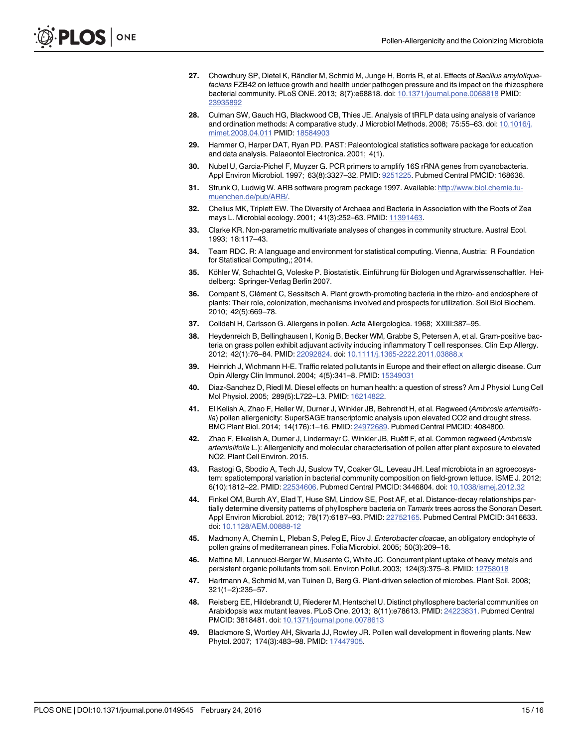- <span id="page-14-0"></span>[27.](#page-3-0) Chowdhury SP, Dietel K, Rändler M, Schmid M, Junge H, Borris R, et al. Effects of Bacillus amyloliquefaciens FZB42 on lettuce growth and health under pathogen pressure and its impact on the rhizosphere bacterial community. PLoS ONE. 2013; 8(7):e68818. doi: [10.1371/journal.pone.0068818](http://dx.doi.org/10.1371/journal.pone.0068818) PMID: [23935892](http://www.ncbi.nlm.nih.gov/pubmed/23935892)
- [28.](#page-3-0) Culman SW, Gauch HG, Blackwood CB, Thies JE. Analysis of tRFLP data using analysis of variance and ordination methods: A comparative study. J Microbiol Methods. 2008; 75:55–63. doi: [10.1016/j.](http://dx.doi.org/10.1016/j.mimet.2008.04.011) [mimet.2008.04.011](http://dx.doi.org/10.1016/j.mimet.2008.04.011) PMID: [18584903](http://www.ncbi.nlm.nih.gov/pubmed/18584903)
- [29.](#page-3-0) Hammer O, Harper DAT, Ryan PD. PAST: Paleontological statistics software package for education and data analysis. Palaeontol Electronica. 2001; 4(1).
- [30.](#page-3-0) Nubel U, Garcia-Pichel F, Muyzer G. PCR primers to amplify 16S rRNA genes from cyanobacteria. Appl Environ Microbiol. 1997; 63(8):3327–32. PMID: [9251225.](http://www.ncbi.nlm.nih.gov/pubmed/9251225) Pubmed Central PMCID: 168636.
- [31.](#page-3-0) Strunk O, Ludwig W. ARB software program package 1997. Available: [http://www.biol.chemie.tu](http://www.biol.chemie.tu-muenchen.de/pub/ARB/)[muenchen.de/pub/ARB/](http://www.biol.chemie.tu-muenchen.de/pub/ARB/).
- [32.](#page-3-0) Chelius MK, Triplett EW. The Diversity of Archaea and Bacteria in Association with the Roots of Zea mays L. Microbial ecology. 2001; 41(3):252-63. PMID: [11391463.](http://www.ncbi.nlm.nih.gov/pubmed/11391463)
- [33.](#page-3-0) Clarke KR. Non-parametric multivariate analyses of changes in community structure. Austral Ecol. 1993; 18:117–43.
- [34.](#page-3-0) Team RDC. R: A language and environment for statistical computing. Vienna, Austria: R Foundation for Statistical Computing,; 2014.
- [35.](#page-3-0) Köhler W, Schachtel G, Voleske P. Biostatistik. Einführung für Biologen und Agrarwissenschaftler. Heidelberg: Springer-Verlag Berlin 2007.
- [36.](#page-8-0) Compant S, Clément C, Sessitsch A. Plant growth-promoting bacteria in the rhizo- and endosphere of plants: Their role, colonization, mechanisms involved and prospects for utilization. Soil Biol Biochem. 2010; 42(5):669–78.
- [37.](#page-9-0) Colldahl H, Carlsson G. Allergens in pollen. Acta Allergologica. 1968; XXIII:387–95.
- [38.](#page-9-0) Heydenreich B, Bellinghausen I, Konig B, Becker WM, Grabbe S, Petersen A, et al. Gram-positive bacteria on grass pollen exhibit adjuvant activity inducing inflammatory T cell responses. Clin Exp Allergy. 2012; 42(1):76–84. PMID: [22092824.](http://www.ncbi.nlm.nih.gov/pubmed/22092824) doi: [10.1111/j.1365-2222.2011.03888.x](http://dx.doi.org/10.1111/j.1365-2222.2011.03888.x)
- [39.](#page-9-0) Heinrich J, Wichmann H-E. Traffic related pollutants in Europe and their effect on allergic disease. Curr Opin Allergy Clin Immunol. 2004; 4(5):341–8. PMID: [15349031](http://www.ncbi.nlm.nih.gov/pubmed/15349031)
- [40.](#page-9-0) Diaz-Sanchez D, Riedl M. Diesel effects on human health: a question of stress? Am J Physiol Lung Cell Mol Physiol. 2005; 289(5):L722–L3. PMID: [16214822.](http://www.ncbi.nlm.nih.gov/pubmed/16214822)
- [41.](#page-9-0) El Kelish A, Zhao F, Heller W, Durner J, Winkler JB, Behrendt H, et al. Ragweed (Ambrosia artemisiifolia) pollen allergenicity: SuperSAGE transcriptomic analysis upon elevated CO2 and drought stress. BMC Plant Biol. 2014; 14(176):1–16. PMID: [24972689](http://www.ncbi.nlm.nih.gov/pubmed/24972689). Pubmed Central PMCID: 4084800.
- [42.](#page-9-0) Zhao F, Elkelish A, Durner J, Lindermayr C, Winkler JB, Ruëff F, et al. Common ragweed (Ambrosia artemisiifolia L.): Allergenicity and molecular characterisation of pollen after plant exposure to elevated NO2. Plant Cell Environ. 2015.
- [43.](#page-9-0) Rastogi G, Sbodio A, Tech JJ, Suslow TV, Coaker GL, Leveau JH. Leaf microbiota in an agroecosystem: spatiotemporal variation in bacterial community composition on field-grown lettuce. ISME J. 2012; 6(10):1812–22. PMID: [22534606](http://www.ncbi.nlm.nih.gov/pubmed/22534606). Pubmed Central PMCID: 3446804. doi: [10.1038/ismej.2012.32](http://dx.doi.org/10.1038/ismej.2012.32)
- [44.](#page-9-0) Finkel OM, Burch AY, Elad T, Huse SM, Lindow SE, Post AF, et al. Distance-decay relationships partially determine diversity patterns of phyllosphere bacteria on Tamarix trees across the Sonoran Desert. Appl Environ Microbiol. 2012; 78(17):6187–93. PMID: [22752165.](http://www.ncbi.nlm.nih.gov/pubmed/22752165) Pubmed Central PMCID: 3416633. doi: [10.1128/AEM.00888-12](http://dx.doi.org/10.1128/AEM.00888-12)
- [45.](#page-9-0) Madmony A, Chernin L, Pleban S, Peleg E, Riov J. Enterobacter cloacae, an obligatory endophyte of pollen grains of mediterranean pines. Folia Microbiol. 2005; 50(3):209–16.
- [46.](#page-9-0) Mattina MI, Lannucci-Berger W, Musante C, White JC. Concurrent plant uptake of heavy metals and persistent organic pollutants from soil. Environ Pollut. 2003; 124(3):375-8. PMID: [12758018](http://www.ncbi.nlm.nih.gov/pubmed/12758018)
- [47.](#page-9-0) Hartmann A, Schmid M, van Tuinen D, Berg G. Plant-driven selection of microbes. Plant Soil. 2008; 321(1–2):235–57.
- [48.](#page-9-0) Reisberg EE, Hildebrandt U, Riederer M, Hentschel U. Distinct phyllosphere bacterial communities on Arabidopsis wax mutant leaves. PLoS One. 2013; 8(11):e78613. PMID: [24223831.](http://www.ncbi.nlm.nih.gov/pubmed/24223831) Pubmed Central PMCID: 3818481. doi: [10.1371/journal.pone.0078613](http://dx.doi.org/10.1371/journal.pone.0078613)
- [49.](#page-9-0) Blackmore S, Wortley AH, Skvarla JJ, Rowley JR. Pollen wall development in flowering plants. New Phytol. 2007; 174(3):483–98. PMID: [17447905](http://www.ncbi.nlm.nih.gov/pubmed/17447905).